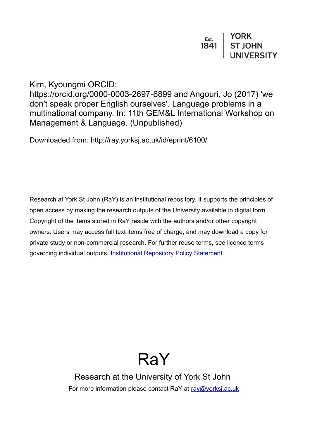Kim, Kyoungmi ORCID:

https://orcid.org/0000-0003-2697-6899 and Angouri, Jo (2017) 'we don't speak proper English ourselves'. Language problems in a multinational company. In: 11th GEM&L International Workshop on Management & Language. (Unpublished)

Downloaded from: http://ray.yorksj.ac.uk/id/eprint/6100/

Research at York St John (RaY) is an institutional repository. It supports the principles of open access by making the research outputs of the University available in digital form. Copyright of the items stored in RaY reside with the authors and/or other copyright owners. Users may access full text items free of charge, and may download a copy for private study or non-commercial research. For further reuse terms, see licence terms governing individual outputs. [Institutional Repository Policy Statement](https://www.yorksj.ac.uk/ils/repository-policies/)

# RaY

Research at the University of York St John For more information please contact RaY at [ray@yorksj.ac.uk](mailto:ray@yorksj.ac.uk)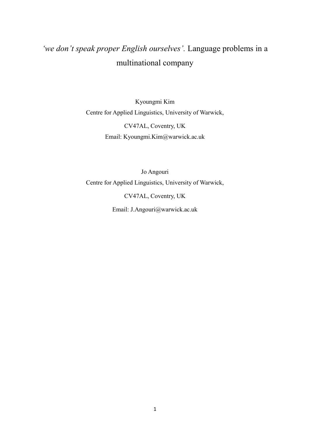## *'we don't speak proper English ourselves'*. Language problems in a multinational company

Kyoungmi Kim Centre for Applied Linguistics, University of Warwick, CV47AL, Coventry, UK

Email: Kyoungmi.Kim@warwick.ac.uk

Jo Angouri Centre for Applied Linguistics, University of Warwick, CV47AL, Coventry, UK Email: J.Angouri@warwick.ac.uk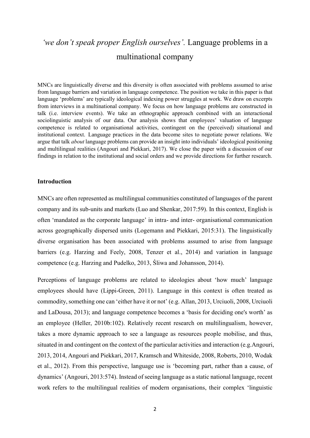### *<u>twe don't speak proper English ourselves'. Language problems in a*</u> multinational company

MNCs are linguistically diverse and this diversity is often associated with problems assumed to arise from language barriers and variation in language competence. The position we take in this paper is that language 'problems' are typically ideological indexing power struggles at work. We draw on excerpts from interviews in a multinational company. We focus on how language problems are constructed in talk (i.e. interview events). We take an ethnographic approach combined with an interactional sociolinguistic analysis of our data. Our analysis shows that employees' valuation of language competence is related to organisational activities, contingent on the (perceived) situational and institutional context. Language practices in the data become sites to negotiate power relations. We argue that talk *about* language problems can provide an insight into individuals' ideological positioning and multilingual realities (Angouri and Piekkari, 2017). We close the paper with a discussion of our findings in relation to the institutional and social orders and we provide directions for further research.

#### **Introduction**

MNCs are often represented as multilingual communities constituted of languages of the parent company and its sub-units and markets (Luo and Shenkar, 2017:59). In this context, English is often 'mandated as the corporate language' in intra- and inter- organisational communication across geographically dispersed units (Logemann and Piekkari, 2015:31). The linguistically diverse organisation has been associated with problems assumed to arise from language barriers (e.g. Harzing and Feely, 2008, Tenzer et al., 2014) and variation in language competence (e.g. Harzing and Pudelko, 2013, Śliwa and Johansson, 2014).

Perceptions of language problems are related to ideologies about 'how much' language employees should have (Lippi-Green, 2011). Language in this context is often treated as commodity, something one can 'either have it or not' (e.g. Allan, 2013, Urciuoli, 2008, Urciuoli and LaDousa, 2013); and language competence becomes a 'basis for deciding one's worth' as an employee (Heller, 2010b:102). Relatively recent research on multilingualism, however, takes a more dynamic approach to see a language as resources people mobilise, and thus, situated in and contingent on the context of the particular activities and interaction (e.g.Angouri, 2013, 2014, Angouri and Piekkari, 2017, Kramsch and Whiteside, 2008, Roberts, 2010, Wodak et al., 2012). From this perspective, language use is 'becoming part, rather than a cause, of dynamics' (Angouri, 2013:574). Instead of seeing language as a static national language, recent work refers to the multilingual realities of modern organisations, their complex 'linguistic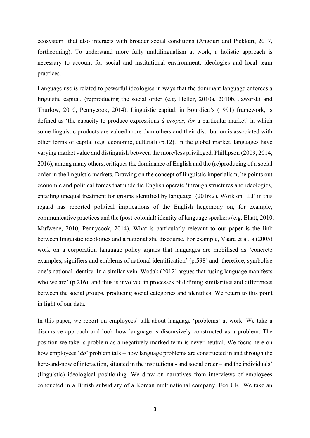ecosystem' that also interacts with broader social conditions (Angouri and Piekkari, 2017, forthcoming). To understand more fully multilingualism at work, a holistic approach is necessary to account for social and institutional environment, ideologies and local team practices.

Language use is related to powerful ideologies in ways that the dominant language enforces a linguistic capital, (re)producing the social order (e.g. Heller, 2010a, 2010b, Jaworski and Thurlow, 2010, Pennycook, 2014). Linguistic capital, in Bourdieu's (1991) framework, is defined as 'the capacity to produce expressions  $\dot{a}$  propos, for a particular market' in which some linguistic products are valued more than others and their distribution is associated with other forms of capital (e.g. economic, cultural) (p.12). In the global market, languages have varying market value and distinguish between the more/less privileged. Phillipson (2009, 2014, 2016), among many others, critiques the dominance of English and the (re)producing of a social order in the linguistic markets. Drawing on the concept of linguistic imperialism, he points out economic and political forces that underlie English operate 'through structures and ideologies, entailing unequal treatment for groups identified by language' (2016:2). Work on ELF in this regard has reported political implications of the English hegemony on, for example, communicative practices and the (post-colonial) identity of language speakers (e.g. Bhatt, 2010, Mufwene, 2010, Pennycook, 2014). What is particularly relevant to our paper is the link between linguistic ideologies and a nationalistic discourse. For example, Vaara et al.'s (2005) work on a corporation language policy argues that languages are mobilised as 'concrete examples, signifiers and emblems of national identification' (p.598) and, therefore, symbolise one's national identity. In a similar vein, Wodak (2012) argues that 'using language manifests who we are  $(p.216)$ , and thus is involved in processes of defining similarities and differences between the social groups, producing social categories and identities. We return to this point in light of our data.

In this paper, we report on employees' talk about language 'problems' at work. We take a discursive approach and look how language is discursively constructed as a problem. The position we take is problem as a negatively marked term is never neutral. We focus here on how employees '*do*' problem talk – how language problems are constructed in and through the here-and-now of interaction, situated in the institutional- and social order – and the individuals' (linguistic) ideological positioning. We draw on narratives from interviews of employees conducted in a British subsidiary of a Korean multinational company, Eco UK. We take an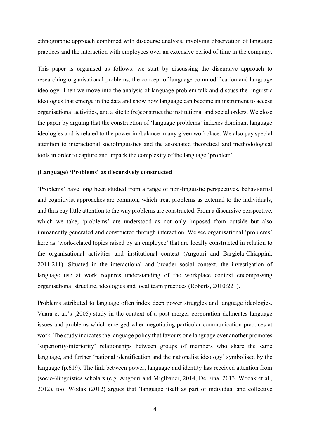ethnographic approach combined with discourse analysis, involving observation of language practices and the interaction with employees over an extensive period of time in the company.

This paper is organised as follows: we start by discussing the discursive approach to researching organisational problems, the concept of language commodification and language ideology. Then we move into the analysis of language problem talk and discuss the linguistic ideologies that emerge in the data and show how language can become an instrument to access organisational activities, and a site to (re)construct the institutional and social orders. We close the paper by arguing that the construction of 'language problems' indexes dominant language ideologies and is related to the power im/balance in any given workplace. We also pay special attention to interactional sociolinguistics and the associated theoretical and methodological tools in order to capture and unpack the complexity of the language 'problem'.

#### (Language) 'Problems' as discursively constructed

'Problems' have long been studied from a range of non-linguistic perspectives, behaviourist and cognitivist approaches are common, which treat problems as external to the individuals, and thus pay little attention to the way problems are constructed. From a discursive perspective, which we take, 'problems' are understood as not only imposed from outside but also immanently generated and constructed through interaction. We see organisational 'problems' here as 'work-related topics raised by an employee' that are locally constructed in relation to the organisational activities and institutional context (Angouri and Bargiela-Chiappini, 2011:211). Situated in the interactional and broader social context, the investigation of language use at work requires understanding of the workplace context encompassing organisational structure, ideologies and local team practices (Roberts, 2010:221).

Problems attributed to language often index deep power struggles and language ideologies. Vaara et al.'s (2005) study in the context of a post-merger corporation delineates language issues and problems which emerged when negotiating particular communication practices at work. The study indicates the language policy that favours one language over another promotes 'superiority-inferiority' relationships between groups of members who share the same language, and further 'national identification and the nationalist ideology' symbolised by the language (p.619). The link between power, language and identity has received attention from (socio-)linguistics scholars (e.g. Angouri and Miglbauer, 2014, De Fina, 2013, Wodak et al.,  $2012$ ), too. Wodak (2012) argues that 'language itself as part of individual and collective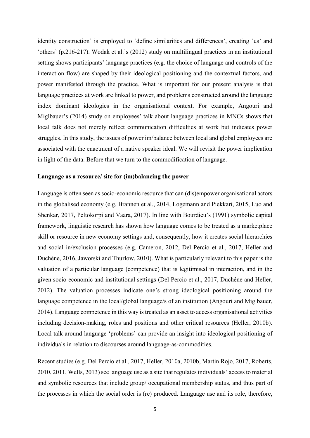identity construction' is employed to 'define similarities and differences', creating 'us' and 'others' (p.216-217). Wodak et al.'s (2012) study on multilingual practices in an institutional setting shows participants' language practices (e.g. the choice of language and controls of the interaction flow) are shaped by their ideological positioning and the contextual factors, and power manifested through the practice. What is important for our present analysis is that language practices at work are linked to power, and problems constructed around the language index dominant ideologies in the organisational context. For example, Angouri and Miglbauer's (2014) study on employees' talk about language practices in MNCs shows that local talk does not merely reflect communication difficulties at work but indicates power struggles. In this study, the issues of power im/balance between local and global employees are associated with the enactment of a native speaker ideal. We will revisit the power implication in light of the data. Before that we turn to the commodification of language.

#### **Language as a resource/ site for (im)balancing the power**

Language is often seen as socio-economic resource that can (dis)empower organisational actors in the globalised economy (e.g. Brannen et al., 2014, Logemann and Piekkari, 2015, Luo and Shenkar, 2017, Peltokorpi and Vaara, 2017). In line with Bourdieu's (1991) symbolic capital framework, linguistic research has shown how language comes to be treated as a marketplace skill or resource in new economy settings and, consequently, how it creates social hierarchies and social in/exclusion processes (e.g. Cameron, 2012, Del Percio et al., 2017, Heller and Duchêne, 2016, Jaworski and Thurlow, 2010). What is particularly relevant to this paper is the valuation of a particular language (competence) that is legitimised in interaction, and in the given socio-economic and institutional settings (Del Percio et al., 2017, Duchêne and Heller, 2012). The valuation processes indicate one's strong ideological positioning around the language competence in the local/global language/s of an institution (Angouri and Miglbauer, 2014). Language competence in this way is treated as an asset to access organisational activities including decision-making, roles and positions and other critical resources (Heller, 2010b). Local talk around language 'problems' can provide an insight into ideological positioning of individuals in relation to discourses around language-as-commodities.

Recent studies (e.g. Del Percio et al., 2017, Heller, 2010a, 2010b, Martin Rojo, 2017, Roberts, 2010, 2011, Wells, 2013) see language use as a site that regulates individuals' access to material and symbolic resources that include group/ occupational membership status, and thus part of the processes in which the social order is (re) produced. Language use and its role, therefore,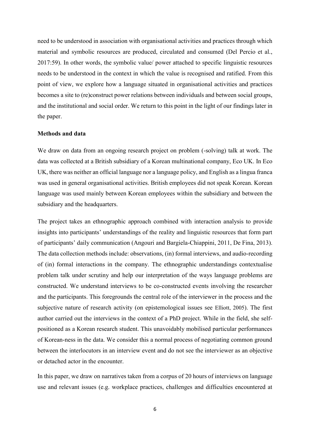need to be understood in association with organisational activities and practices through which material and symbolic resources are produced, circulated and consumed (Del Percio et al., 2017:59). In other words, the symbolic value/ power attached to specific linguistic resources needs to be understood in the context in which the value is recognised and ratified. From this point of view, we explore how a language situated in organisational activities and practices becomes a site to (re)construct power relations between individuals and between social groups, and the institutional and social order. We return to this point in the light of our findings later in the paper.

#### **Methods and data**

We draw on data from an ongoing research project on problem (-solving) talk at work. The data was collected at a British subsidiary of a Korean multinational company, Eco UK. In Eco UK, there was neither an official language nor a language policy, and English as a lingua franca was used in general organisational activities. British employees did not speak Korean. Korean language was used mainly between Korean employees within the subsidiary and between the subsidiary and the headquarters.

The project takes an ethnographic approach combined with interaction analysis to provide insights into participants' understandings of the reality and linguistic resources that form part of participants' daily communication (Angouri and Bargiela-Chiappini, 2011, De Fina, 2013). The data collection methods include: observations, (in) formal interviews, and audio-recording of (in) formal interactions in the company. The ethnographic understandings contextualise problem talk under scrutiny and help our interpretation of the ways language problems are constructed. We understand interviews to be co-constructed events involving the researcher and the participants. This foregrounds the central role of the interviewer in the process and the subjective nature of research activity (on epistemological issues see Elliott, 2005). The first author carried out the interviews in the context of a PhD project. While in the field, she selfpositioned as a Korean research student. This unavoidably mobilised particular performances of Korean-ness in the data. We consider this a normal process of negotiating common ground between the interlocutors in an interview event and do not see the interviewer as an objective or detached actor in the encounter.

In this paper, we draw on narratives taken from a corpus of 20 hours of interviews on language use and relevant issues (e.g. workplace practices, challenges and difficulties encountered at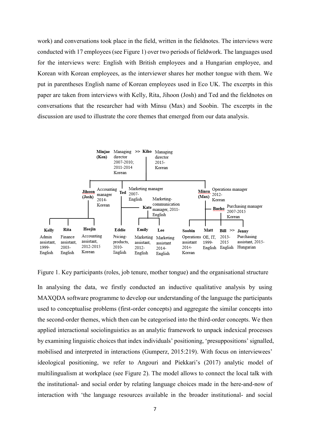work) and conversations took place in the field, written in the fieldnotes. The interviews were conducted with 17 employees (see Figure 1) over two periods of fieldwork. The languages used for the interviews were: English with British employees and a Hungarian employee, and Korean with Korean employees, as the interviewer shares her mother tongue with them. We put in parentheses English name of Korean employees used in Eco UK. The excerpts in this paper are taken from interviews with Kelly, Rita, Jihoon (Josh) and Ted and the fieldnotes on conversations that the researcher had with Minsu (Max) and Soobin. The excerpts in the discussion are used to illustrate the core themes that emerged from our data analysis.



Figure 1. Key participants (roles, job tenure, mother tongue) and the organisational structure

In analysing the data, we firstly conducted an inductive qualitative analysis by using MAXQDA software programme to develop our understanding of the language the participants used to conceptualise problems (first-order concepts) and aggregate the similar concepts into the second-order themes, which then can be categorised into the third-order concepts. We then applied interactional sociolinguistics as an analytic framework to unpack indexical processes by examining linguistic choices that index individuals' positioning, 'presuppositions' signalled, mobilised and interpreted in interactions (Gumperz, 2015:219). With focus on interviewees' ideological positioning, we refer to Angouri and Piekkari's (2017) analytic model of multilingualism at workplace (see Figure 2). The model allows to connect the local talk with the institutional- and social order by relating language choices made in the here-and-now of interaction with 'the language resources available in the broader institutional- and social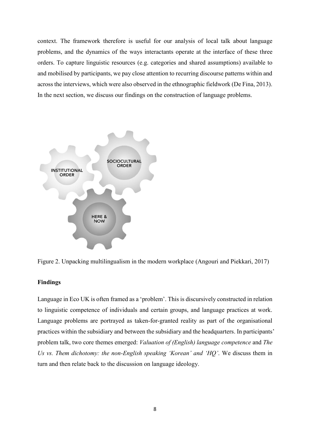context. The framework therefore is useful for our analysis of local talk about language problems, and the dynamics of the ways interactants operate at the interface of these three orders. To capture linguistic resources (e.g. categories and shared assumptions) available to and mobilised by participants, we pay close attention to recurring discourse patterns within and across the interviews, which were also observed in the ethnographic fieldwork (De Fina, 2013). In the next section, we discuss our findings on the construction of language problems.





#### **Findings**

Language in Eco UK is often framed as a 'problem'. This is discursively constructed in relation to linguistic competence of individuals and certain groups, and language practices at work. Language problems are portrayed as taken-for-granted reality as part of the organisational practices within the subsidiary and between the subsidiary and the headquarters. In participants' problem talk, two core themes emerged: *Valuation of (English) language competence* and *The Us vs. Them dichotomy: the non-English speaking 'Korean' and 'HQ'*. We discuss them in turn and then relate back to the discussion on language ideology.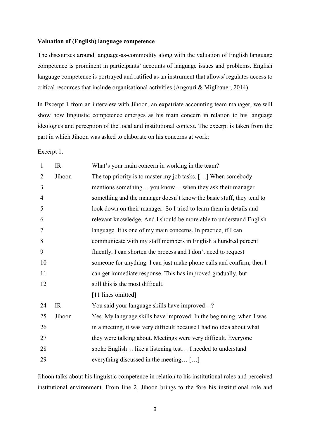#### **Valuation of (English) language competence**

The discourses around language-as-commodity along with the valuation of English language competence is prominent in participants' accounts of language issues and problems. English language competence is portrayed and ratified as an instrument that allows/ regulates access to critical resources that include organisational activities (Angouri & Miglbauer, 2014).

In Excerpt 1 from an interview with Jihoon, an expatriate accounting team manager, we will show how linguistic competence emerges as his main concern in relation to his language ideologies and perception of the local and institutional context. The excerpt is taken from the part in which Jihoon was asked to elaborate on his concerns at work:

Excerpt 1.

| $\mathbf{1}$   | IR     | What's your main concern in working in the team?                      |
|----------------|--------|-----------------------------------------------------------------------|
| $\overline{2}$ | Jihoon | The top priority is to master my job tasks. [] When somebody          |
| 3              |        | mentions something you know when they ask their manager               |
| $\overline{4}$ |        | something and the manager doesn't know the basic stuff, they tend to  |
| 5              |        | look down on their manager. So I tried to learn them in details and   |
| 6              |        | relevant knowledge. And I should be more able to understand English   |
| $\tau$         |        | language. It is one of my main concerns. In practice, if I can        |
| 8              |        | communicate with my staff members in English a hundred percent        |
| 9              |        | fluently, I can shorten the process and I don't need to request       |
| 10             |        | someone for anything. I can just make phone calls and confirm, then I |
| 11             |        | can get immediate response. This has improved gradually, but          |
| 12             |        | still this is the most difficult.                                     |
|                |        | [11 lines omitted]                                                    |
| 24             | IR     | You said your language skills have improved?                          |
| 25             | Jihoon | Yes. My language skills have improved. In the beginning, when I was   |
| 26             |        | in a meeting, it was very difficult because I had no idea about what  |
| 27             |        | they were talking about. Meetings were very difficult. Everyone       |
| 28             |        | spoke English like a listening test I needed to understand            |
| 29             |        | everything discussed in the meeting []                                |

Jihoon talks about his linguistic competence in relation to his institutional roles and perceived institutional environment. From line 2, Jihoon brings to the fore his institutional role and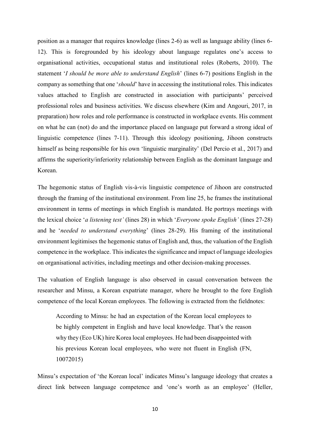position as a manager that requires knowledge (lines 2-6) as well as language ability (lines 6- 12). This is foregrounded by his ideology about language regulates one's access to organisational activities, occupational status and institutional roles (Roberts, 2010). The statement '*I should be more able to understand English*' (lines 6-7) positions English in the company as something that one *'should'* have in accessing the institutional roles. This indicates values attached to English are constructed in association with participants' perceived professional roles and business activities. We discuss elsewhere (Kim and Angouri, 2017, in preparation) how roles and role performance is constructed in workplace events. His comment on what he can (not) do and the importance placed on language put forward a strong ideal of linguistic competence (lines 7-11). Through this ideology positioning, Jihoon constructs himself as being responsible for his own 'linguistic marginality' (Del Percio et al., 2017) and affirms the superiority/inferiority relationship between English as the dominant language and Korean.

The hegemonic status of English vis-à-vis linguistic competence of Jihoon are constructed through the framing of the institutional environment. From line 25, he frames the institutional environment in terms of meetings in which English is mandated. He portrays meetings with the lexical choice '*a listening test'* (lines 28) in which '*Everyone spoke English'* (lines 27-28) and he 'needed to understand everything' (lines 28-29). His framing of the institutional environment legitimises the hegemonic status of English and, thus, the valuation of the English competence in the workplace. This indicates the significance and impact of language ideologies on organisational activities, including meetings and other decision-making processes.

The valuation of English language is also observed in casual conversation between the researcher and Minsu, a Korean expatriate manager, where he brought to the fore English competence of the local Korean employees. The following is extracted from the fieldnotes:

According to Minsu: he had an expectation of the Korean local employees to be highly competent in English and have local knowledge. That's the reason why they (Eco UK) hire Korea local employees. He had been disappointed with his previous Korean local employees, who were not fluent in English (FN, 10072015)

Minsu's expectation of 'the Korean local' indicates Minsu's language ideology that creates a direct link between language competence and 'one's worth as an employee' (Heller,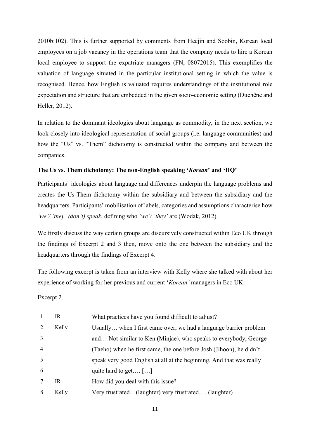2010b:102). This is further supported by comments from Heejin and Soobin, Korean local employees on a job vacancy in the operations team that the company needs to hire a Korean local employee to support the expatriate managers (FN, 08072015). This exemplifies the valuation of language situated in the particular institutional setting in which the value is recognised. Hence, how English is valuated requires understandings of the institutional role expectation and structure that are embedded in the given socio-economic setting (Duchêne and Heller, 2012).

In relation to the dominant ideologies about language as commodity, in the next section, we look closely into ideological representation of social groups (i.e. language communities) and how the "Us" vs. "Them" dichotomy is constructed within the company and between the companies.

#### **The Us vs. Them dichotomy: The non-English speaking '***Korean***' and 'HQ'**

Participants' ideologies about language and differences underpin the language problems and creates the Us-Them dichotomy within the subsidiary and between the subsidiary and the headquarters. Participants' mobilisation of labels, categories and assumptions characterise how *we'/ 'they' (don't) speak*, defining who *'we'/ 'they'* are (Wodak, 2012).

We firstly discuss the way certain groups are discursively constructed within Eco UK through the findings of Excerpt 2 and 3 then, move onto the one between the subsidiary and the headquarters through the findings of Excerpt 4.

The following excerpt is taken from an interview with Kelly where she talked with about her experience of working for her previous and current '*Korean'* managers in Eco UK:

Excerpt 2.

| $\mathbf{1}$   | IR    | What practices have you found difficult to adjust?                   |
|----------------|-------|----------------------------------------------------------------------|
| 2              | Kelly | Usually when I first came over, we had a language barrier problem    |
| $\overline{3}$ |       | and Not similar to Ken (Minjae), who speaks to everybody, George     |
| $\overline{4}$ |       | (Taeho) when he first came, the one before Josh (Jihoon), he didn't  |
| 5              |       | speak very good English at all at the beginning. And that was really |
| 6              |       | quite hard to get $[\dots]$                                          |
|                | IR    | How did you deal with this issue?                                    |
| 8              | Kelly | Very frustrated(laughter) very frustrated (laughter)                 |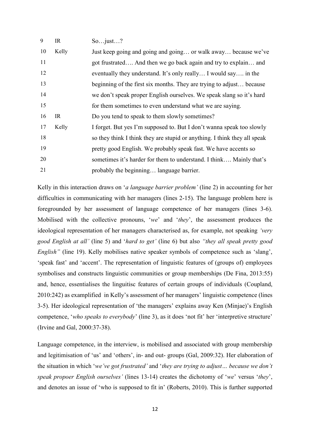| 9  | IR    | Sojust?                                                                   |
|----|-------|---------------------------------------------------------------------------|
| 10 | Kelly | Just keep going and going and going or walk away because we've            |
| 11 |       | got frustrated And then we go back again and try to explain and           |
| 12 |       | eventually they understand. It's only really I would say in the           |
| 13 |       | beginning of the first six months. They are trying to adjust because      |
| 14 |       | we don't speak proper English ourselves. We speak slang so it's hard      |
| 15 |       | for them sometimes to even understand what we are saying.                 |
| 16 | IR    | Do you tend to speak to them slowly sometimes?                            |
| 17 | Kelly | I forget. But yes I'm supposed to. But I don't wanna speak too slowly     |
| 18 |       | so they think I think they are stupid or anything. I think they all speak |
| 19 |       | pretty good English. We probably speak fast. We have accents so           |
| 20 |       | sometimes it's harder for them to understand. I think Mainly that's       |
| 21 |       | probably the beginning language barrier.                                  |

Kelly in this interaction draws on '*a language barrier problem'* (line 2) in accounting for her difficulties in communicating with her managers (lines 2-15). The language problem here is foregrounded by her assessment of language competence of her managers (lines 3-6). Mobilised with the collective pronouns, 'we' and 'they', the assessment produces the ideological representation of her managers characterised as, for example, not speaking *'very good English at all'* (line 5) and '*hard to get'* (line 6) but also "*they all speak pretty good English*" (line 19). Kelly mobilises native speaker symbols of competence such as 'slang', 'speak fast' and 'accent'. The representation of linguistic features of (groups of) employees symbolises and constructs linguistic communities or group memberships (De Fina, 2013:55) and, hence, essentialises the linguitisc features of certain groups of individuals (Coupland,  $2010:242$ ) as examplified in Kelly's assessment of her managers' linguistic competence (lines 3-5). Her ideological representation of 'the managers' explains away Ken (Minjae)'s English competence, *'who speaks to everybody'* (line 3), as it does 'not fit' her 'interpretive structure' (Irvine and Gal, 2000:37-38).

Language competence, in the interview, is mobilised and associated with group membership and legitimisation of 'us' and 'others', in- and out- groups (Gal, 2009:32). Her elaboration of the situation in which 'we've got frustrated' and 'they are trying to adjust... because we don't *speak propoer English ourselves*<sup>*'*</sup> (lines 13-14) creates the dichotomy of 'we' versus 'they', and denotes an issue of 'who is supposed to fit in' (Roberts, 2010). This is further supported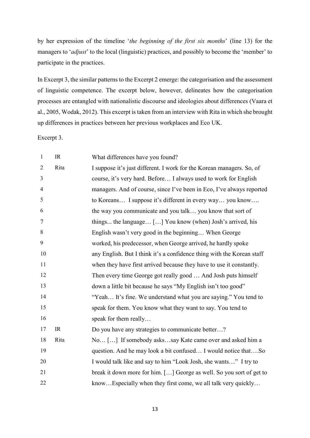by her expression of the timeline 'the beginning of the first six months' (line 13) for the managers to '*adjust*' to the local (linguistic) practices, and possibly to become the 'member' to participate in the practices.

In Excerpt 3, the similar patterns to the Excerpt 2 emerge: the categorisation and the assessment of linguistic competence. The excerpt below, however, delineates how the categorisation processes are entangled with nationalistic discourse and ideologies about differences (Vaara et al., 2005, Wodak, 2012). This excerpt is taken from an interview with Rita in which she brought up differences in practices between her previous workplaces and Eco UK.

Excerpt 3.

| $\mathbf{1}$   | IR   | What differences have you found?                                       |
|----------------|------|------------------------------------------------------------------------|
| $\overline{2}$ | Rita | I suppose it's just different. I work for the Korean managers. So, of  |
| 3              |      | course, it's very hard. Before I always used to work for English       |
| $\overline{4}$ |      | managers. And of course, since I've been in Eco, I've always reported  |
| 5              |      | to Koreans I suppose it's different in every way you know              |
| 6              |      | the way you communicate and you talk you know that sort of             |
| $\overline{7}$ |      | things the language [] You know (when) Josh's arrived, his             |
| 8              |      | English wasn't very good in the beginning When George                  |
| 9              |      | worked, his predecessor, when George arrived, he hardly spoke          |
| 10             |      | any English. But I think it's a confidence thing with the Korean staff |
| 11             |      | when they have first arrived because they have to use it constantly.   |
| 12             |      | Then every time George got really good  And Josh puts himself          |
| 13             |      | down a little bit because he says "My English isn't too good"          |
| 14             |      | "Yeah It's fine. We understand what you are saying." You tend to       |
| 15             |      | speak for them. You know what they want to say. You tend to            |
| 16             |      | speak for them really                                                  |
| 17             | IR   | Do you have any strategies to communicate better?                      |
| 18             | Rita | No [] If somebody askssay Kate came over and asked him a               |
| 19             |      | question. And he may look a bit confused I would notice thatSo         |
| 20             |      | I would talk like and say to him "Look Josh, she wants" I try to       |
| 21             |      | break it down more for him. [] George as well. So you sort of get to   |
| 22             |      | knowEspecially when they first come, we all talk very quickly          |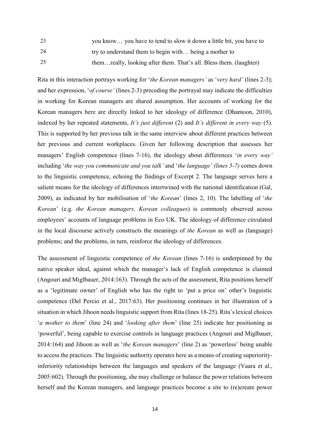23 vou know... you have to tend to slow it down a little bit, you have to

24 try to understand them to begin with... being a mother to

25 them...really, looking after them. That's all. Bless them. (laughter)

Rita in this interaction portrays working for *'the Korean managers'* as *'very hard'* (lines 2-3); and her expression, *'of course'* (lines 2-3) preceding the portrayal may indicate the difficulties in working for Korean managers are shared assumption. Her accounts of working for the Korean managers here are directly linked to her ideology of difference (Dhamoon, 2010), indexed by her repeated statements, *It's just different* (2) and *It's different in every way* (5). This is supported by her previous talk in the same interview about different practices between her previous and current workplaces. Given her following description that assesses her managers' English competence (lines 7-16), the ideology about differences '*in every way*' including 'the way you communicate and you talk' and 'the language' (lines 5-7) comes down to the linguistic competence, echoing the findings of Excerpt 2. The language serves here a salient means for the ideology of differences intertwined with the national identification (Gal, 2009), as indicated by her mobilisation of 'the Korean' (lines 2, 10). The labelling of 'the *Korean*¶ (e.g. *the Korean managers, Korean colleagues*) is commonly observed across employees' accounts of language problems in Eco UK. The ideology of difference circulated in the local discourse actively constructs the meanings of *the Korean* as well as (language) problems; and the problems, in turn, reinforce the ideology of differences.

The assessment of linguistic competence of *the Korean* (lines 7-16) is underpinned by the native speaker ideal, against which the manager's lack of English competence is claimed (Angouri and Miglbauer, 2014:163). Through the acts of the assessment, Rita positions herself as a 'legitimate owner' of English who has the right to 'put a price on' other's linguistic competence (Del Percio et al., 2017:63). Her positioning continues in her illustration of a situation in which Jihoon needs linguistic support from Rita (lines 18-25). Rita's lexical choices <sup>*'a mother to them*' (line 24) and *'looking after them*' (line 25) indicate her positioning as</sup> 'powerful', being capable to exercise controls in language practices (Angouri and Miglbauer, 2014:164) and Jihoon as well as 'the Korean managers' (line 2) as 'powerless' being unable to access the practices. The linguistic authority operates here as a means of creating superiorityinferiority relationships between the languages and speakers of the language (Vaara et al., 2005:602). Through the positioning, she may challenge or balance the power relations between herself and the Korean managers, and language practices become a site to (re)create power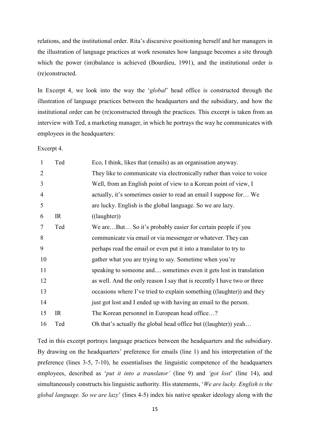relations, and the institutional order. Rita's discursive positioning herself and her managers in the illustration of language practices at work resonates how language becomes a site through which the power (im)balance is achieved (Bourdieu, 1991), and the institutional order is (re)constructed.

In Excerpt 4, we look into the way the *'global'* head office is constructed through the illustration of language practices between the headquarters and the subsidiary, and how the institutional order can be (re)constructed through the practices. This excerpt is taken from an interview with Ted, a marketing manager, in which he portrays the way he communicates with employees in the headquarters:

Excerpt 4.

| $\mathbf{1}$   | Ted | Eco, I think, likes that (emails) as an organisation anyway.            |
|----------------|-----|-------------------------------------------------------------------------|
| $\overline{2}$ |     | They like to communicate via electronically rather than voice to voice  |
| 3              |     | Well, from an English point of view to a Korean point of view, I        |
| $\overline{4}$ |     | actually, it's sometimes easier to read an email I suppose for We       |
| 5              |     | are lucky. English is the global language. So we are lazy.              |
| 6              | IR  | $((\text{layer})$                                                       |
| 7              | Ted | We areBut So it's probably easier for certain people if you             |
| 8              |     | communicate via email or via messenger or whatever. They can            |
| 9              |     | perhaps read the email or even put it into a translator to try to       |
| 10             |     | gather what you are trying to say. Sometime when you're                 |
| 11             |     | speaking to someone and sometimes even it gets lost in translation      |
| 12             |     | as well. And the only reason I say that is recently I have two or three |
| 13             |     | occasions where I've tried to explain something ((laughter)) and they   |
| 14             |     | just got lost and I ended up with having an email to the person.        |
| 15             | IR  | The Korean personnel in European head office?                           |
| 16             | Ted | Oh that's actually the global head office but ((laughter)) yeah         |

Ted in this excerpt portrays language practices between the headquarters and the subsidiary. By drawing on the headquarters' preference for emails (line 1) and his interpretation of the preference (lines 3-5, 7-10), he essentialises the linguistic competence of the headquarters employees, described as '*put it into a translator'* (line 9) and '*got lost'* (line 14), and simultaneously constructs his linguistic authority. His statements, *We are lucky. English is the* global language. So we are lazy' (lines 4-5) index his native speaker ideology along with the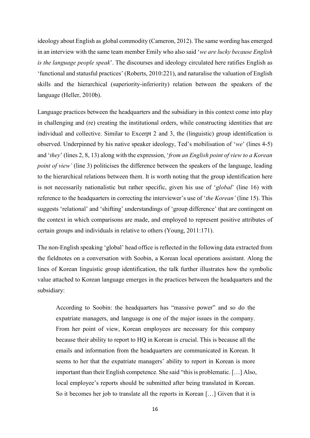ideology about English as global commodity (Cameron, 2012). The same wording has emerged in an interview with the same team member Emily who also said *'we are lucky because English is the language people speak*. The discourses and ideology circulated here ratifies English as 'functional and statusful practices' (Roberts, 2010:221), and naturalise the valuation of English skills and the hierarchical (superiority-inferiority) relation between the speakers of the language (Heller, 2010b).

Language practices between the headquarters and the subsidiary in this context come into play in challenging and (re) creating the institutional orders, while constructing identities that are individual and collective. Similar to Excerpt 2 and 3, the (linguistic) group identification is observed. Underpinned by his native speaker ideology, Ted's mobilisation of '*we*' (lines 4-5) and 'they' (lines 2, 8, 13) along with the expression, 'from an English point of view to a Korean *point of view* (line 3) politicises the difference between the speakers of the language, leading to the hierarchical relations between them. It is worth noting that the group identification here is not necessarily nationalistic but rather specific, given his use of 'global' (line 16) with reference to the headquarters in correcting the interviewer's use of '*the Korean'* (line 15). This suggests 'relational' and 'shifting' understandings of 'group difference' that are contingent on the context in which comparisons are made, and employed to represent positive attributes of certain groups and individuals in relative to others (Young, 2011:171).

The non-English speaking 'global' head office is reflected in the following data extracted from the fieldnotes on a conversation with Soobin, a Korean local operations assistant. Along the lines of Korean linguistic group identification, the talk further illustrates how the symbolic value attached to Korean language emerges in the practices between the headquarters and the subsidiary:

According to Soobin: the headquarters has "massive power" and so do the expatriate managers, and language is one of the major issues in the company. From her point of view, Korean employees are necessary for this company because their ability to report to HQ in Korean is crucial. This is because all the emails and information from the headquarters are communicated in Korean. It seems to her that the expatriate managers' ability to report in Korean is more important than their English competence. She said "this is problematic. [...] Also, local employee's reports should be submitted after being translated in Korean. So it becomes her job to translate all the reports in Korean  $[\dots]$  Given that it is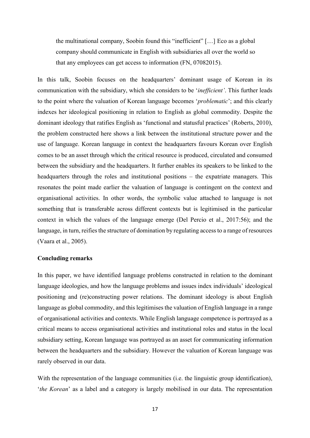the multinational company, Soobin found this "inefficient"  $[...]$  Eco as a global company should communicate in English with subsidiaries all over the world so that any employees can get access to information (FN, 07082015).

In this talk, Soobin focuses on the headquarters' dominant usage of Korean in its communication with the subsidiary, which she considers to be *'inefficient'*. This further leads to the point where the valuation of Korean language becomes '*problematic*'; and this clearly indexes her ideological positioning in relation to English as global commodity. Despite the dominant ideology that ratifies English as 'functional and statusful practices' (Roberts, 2010), the problem constructed here shows a link between the institutional structure power and the use of language. Korean language in context the headquarters favours Korean over English comes to be an asset through which the critical resource is produced, circulated and consumed between the subsidiary and the headquarters. It further enables its speakers to be linked to the headquarters through the roles and institutional positions  $-$  the expatriate managers. This resonates the point made earlier the valuation of language is contingent on the context and organisational activities. In other words, the symbolic value attached to language is not something that is transferable across different contexts but is legitimised in the particular context in which the values of the language emerge (Del Percio et al., 2017:56); and the language, in turn, reifies the structure of domination by regulating access to a range of resources (Vaara et al., 2005).

#### **Concluding remarks**

In this paper, we have identified language problems constructed in relation to the dominant language ideologies, and how the language problems and issues index individuals' ideological positioning and (re)constructing power relations. The dominant ideology is about English language as global commodity, and this legitimises the valuation of English language in a range of organisational activities and contexts. While English language competence is portrayed as a critical means to access organisational activities and institutional roles and status in the local subsidiary setting, Korean language was portrayed as an asset for communicating information between the headquarters and the subsidiary. However the valuation of Korean language was rarely observed in our data.

With the representation of the language communities (i.e. the linguistic group identification), *the Korean*' as a label and a category is largely mobilised in our data. The representation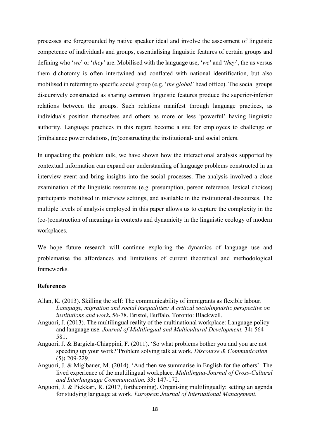processes are foregrounded by native speaker ideal and involve the assessment of linguistic competence of individuals and groups, essentialising linguistic features of certain groups and defining who 'we' or 'they' are. Mobilised with the language use, 'we' and 'they', the us versus them dichotomy is often intertwined and conflated with national identification, but also mobilised in referring to specific social group (e.g. *'the global'* head office). The social groups discursively constructed as sharing common linguistic features produce the superior-inferior relations between the groups. Such relations manifest through language practices, as individuals position themselves and others as more or less 'powerful' having linguistic authority. Language practices in this regard become a site for employees to challenge or (im)balance power relations, (re)constructing the institutional- and social orders.

In unpacking the problem talk, we have shown how the interactional analysis supported by contextual information can expand our understanding of language problems constructed in an interview event and bring insights into the social processes. The analysis involved a close examination of the linguistic resources (e.g. presumption, person reference, lexical choices) participants mobilised in interview settings, and available in the institutional discourses. The multiple levels of analysis employed in this paper allows us to capture the complexity in the (co-)construction of meanings in contexts and dynamicity in the linguistic ecology of modern workplaces.

We hope future research will continue exploring the dynamics of language use and problematise the affordances and limitations of current theoretical and methodological frameworks.

#### **References**

- Allan, K. (2013). Skilling the self: The communicability of immigrants as flexible labour. *Language, migration and social inequalities: A critical sociolinguistic perspective on institutions and work***,** 56-78. Bristol, Buffalo, Toronto: Blackwell.
- Anguori, J. (2013). The multilingual reality of the multinational workplace: Language policy and language use. *Journal of Multilingual and Multicultural Development,* 34**:** 564- 581.
- Anguori, J. & Bargiela-Chiappini, F. (2011). 'So what problems bother you and you are not speeding up your work?'Problem solving talk at work, *Discourse & Communication* (5)**:** 209-229.
- Anguori, J. & Miglbauer, M. (2014). 'And then we summarise in English for the others': The lived experience of the multilingual workplace. *Multilingua-Journal of Cross-Cultural and Interlanguage Communication,* 33**:** 147-172.
- Anguori, J. & Piekkari, R. (2017, forthcoming). Organising multilingually: setting an agenda for studying language at work. *European Journal of International Management*.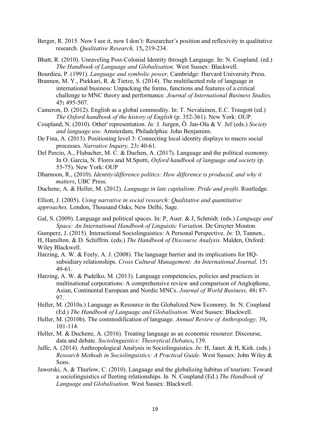- Berger, R. 2015. Now I see it, now I don't: Researcher's position and reflexivity in qualitative research. *Qualitative Research,* 15**,** 219-234.
- Bhatt, R. (2010). Unraveling Post-Colonial Identity through Language. In: N. Coupland. (ed.) *The Handbook of Language and Globalisation.* West Sussex: Blackwell.
- Bourdieu, P. (1991). *Language and symbolic power,* Cambridge: Harvard University Press.
- Brannen, M. Y., Piekkari, R. & Tietze, S. (2014). The multifaceted role of language in international business: Unpacking the forms, functions and features of a critical challenge to MNC theory and performance. *Journal of International Business Studies,* 45**:** 495-507.
- Cameron, D. (2012). English as a global commodity. In: T. Nevalainen, E.C. Traugott (ed.) *The Oxford handbook of the history of English* (p. 352-361). New York: OUP.
- Coupland, N. (2010). Other' representation. *In:* J. Jurgen, Ö. Jan-Ola & V. Jef (eds.) *Society and language use.* Amsterdam, Philadelphia: John Benjamins.
- De Fina, A. (2013). Positioning level 3: Connecting local identity displays to macro social processes. *Narrative Inquiry,* 23**:** 40-61.
- Del Percio, A., Flubacher, M. C. & Duchen, A. (2017). Language and the political economy. In O. Garcia, N. Flores and M.Spotti, *Oxford handbook of language and society* (p. 55-75). New York: OUP
- Dhamoon, R., (2010). *Identity/difference politics: How difference is produced, and why it matters*, UBC Press.
- Duchene, A. & Heller, M. (2012). *Language in late capitalism: Pride and profit*. Routledge.
- Elliott, J. (2005). *Using narrative in social research: Qualitative and quantitative approaches,* London, Thousand Oaks, New Delhi, Sage.
- Gal, S. (2009). Language and political spaces. In: P, Auer. & J, Schmidt. (eds.) *Language and Space: An International Handbook of Linguistic Variation.* De Gruyter Mouton.
- Gumperz, J. (2015). Interactional Sociolinguistics: A Personal Perspective. *In:* D, Tannen.,
- H, Hamilton. & D. Schiffrin. (eds.) *The Handbook of Discourse Analysis.* Malden, Oxford: Wiley Blackwell.
- Harzing, A. W. & Feely, A. J. (2008). The language barrier and its implications for HQsubsidiary relationships. *Cross Cultural Management: An International Journal,* 15**:** 49-61.
- Harzing, A. W. & Pudelko, M. (2013). Language competencies, policies and practices in multinational corporations: A comprehensive review and comparison of Anglophone, Asian, Continental European and Nordic MNCs. *Journal of World Business,* 48**:** 87- 97.
- Heller, M. (2010a.) Language as Resource in the Globalized New Economy. In N. Coupland (Ed.) *The Handbook of Language and Globalisation.* West Sussex: Blackwell.
- Heller, M. (2010b). The commodification of language. *Annual Review of Anthropology,* 39**,** 101-114.
- Heller, M. & Duchene, A. (2016). Treating language as an economic resource: Discourse, data and debate. *Sociolinguistics: Theoretical Debates***,** 139.
- Jaffe, A. (2014). Anthropological Analysis in Sociolinguistics. *In:* H, Janet. & H, Kirk. (eds.) *Research Methods in Sociolinguistics: A Practical Guide.* West Sussex: John Wiley & Sons.
- Jaworski, A. & Thurlow, C. (2010). Language and the globalizing habitus of tourism: Toward a sociolinguistics of fleeting relationships. In N. Coupland (Ed.) *The Handbook of Language and Globalisation.* West Sussex: Blackwell.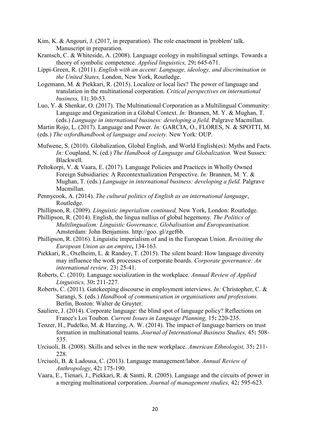- Kim, K. & Angouri, J. (2017, in preparation). The role enactment in 'problem' talk. Manuscript in preparation.
- Kramsch, C. & Whiteside, A. (2008). Language ecology in multilingual settings. Towards a theory of symbolic competence. *Applied linguistics,* 29**:** 645-671.
- Lippi-Green, R. (2011). *English with an accent: Language, ideology, and discrimination in the United States,* London, New York, Routledge.
- Logemann, M. & Piekkari, R. (2015). Localize or local lies? The power of language and translation in the multinational corporation. *Critical perspectives on international business,* 11**:** 30-53.
- Luo, Y. & Shenkar, O. (2017). The Multinational Corporation as a Multilingual Community: Language and Organization in a Global Context. *In:* Brannen, M. Y. & Mughan, T. (eds.) *Language in international business: developing a field.* Palgrave Macmillan.
- Martin Rojo, L. (2017). Language and Power. *In:* GARCIA, O., FLORES, N. & SPOTTI, M.
- (eds.) *The oxfordhandbook of language and society.* New York: OUP.
- Mufwene, S. (2010). Globalization, Global English, and World English(es): Myths and Facts. *In:* Coupland, N. (ed.) *The Handbook of Language and Globalization.* West Sussex: Blackwell.
- Peltokorpi, V. & Vaara, E. (2017). Language Policies and Practices in Wholly Owned Foreign Subsidiaries: A Recontextualization Perspective. *In:* Brannen, M. Y. & Mughan, T. (eds.) *Language in international business: developing a field.* Palgrave Macmillan.
- Pennycook, A. (2014). *The cultural politics of English as an international language*, Routledge.
- Phillipson, R. (2009). *Linguistic imperialism continued,* New York, London: Routledge.
- Phillipson, R. (2014). English, the lingua nullius of global hegemony. *The Politics of Multilingualism: Linguistic Governance, Globalisation and Europeanisation.*  Amsterdam: John Benjamins. http://goo. gl/zgef6b.
- Phillipson, R. (2016). Linguistic imperialism of and in the European Union. *Revisiting the European Union as an empire***,** 134-163.
- Piekkari, R., Oxelheim, L. & Randoy, T. (2015). The silent board: How language diversity may influence the work processes of corporate boards. *Corporate governance: An international review,* 23**:** 25-41.
- Roberts, C. (2010). Language socialization in the workplace. *Annual Review of Applied Linguistics,* 30**:** 211-227.
- Roberts, C. (2011). Gatekeeping discourse in employment interviews. *In:* Christopher, C. & Sarangi, S. (eds.) *Handbook of communication in organisations and professions.* Berlin, Boston: Walter de Gruyter.
- Sauliere, J. (2014). Corporate language: the blind spot of language policy? Reflections on France's Loi Toubon. *Current Issues in Language Planning,* 15**:** 220-235.
- Tenzer, H., Pudelko, M. & Harzing, A. W. (2014). The impact of language barriers on trust formation in multinational teams. *Journal of International Business Studies,* 45**:** 508- 535.
- Urciuoli, B. (2008). Skills and selves in the new workplace. *American Ethnologist,* 35**:** 211- 228.
- Urciuoli, B. & Ladousa, C. (2013). Language management/labor. *Annual Review of Anthropology,* 42**:** 175-190.
- Vaara, E., Tienari, J., Piekkari, R. & Santti, R. (2005). Language and the circuits of power in a merging multinational corporation. *Journal of management studies,* 42**:** 595-623.